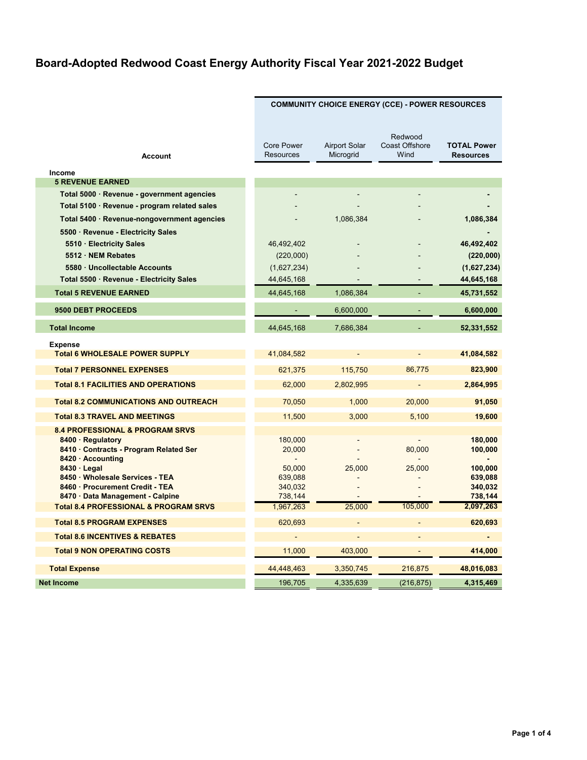|                                                                    | <b>COMMUNITY CHOICE ENERGY (CCE) - POWER RESOURCES</b> |                                   |                                          |                                        |
|--------------------------------------------------------------------|--------------------------------------------------------|-----------------------------------|------------------------------------------|----------------------------------------|
| <b>Account</b>                                                     | <b>Core Power</b><br><b>Resources</b>                  | <b>Airport Solar</b><br>Microgrid | Redwood<br><b>Coast Offshore</b><br>Wind | <b>TOTAL Power</b><br><b>Resources</b> |
| Income                                                             |                                                        |                                   |                                          |                                        |
| <b>5 REVENUE EARNED</b>                                            |                                                        |                                   |                                          |                                        |
| Total 5000 · Revenue - government agencies                         |                                                        |                                   |                                          |                                        |
| Total 5100 · Revenue - program related sales                       |                                                        |                                   |                                          |                                        |
| Total 5400 · Revenue-nongovernment agencies                        |                                                        | 1,086,384                         |                                          | 1,086,384                              |
| 5500 · Revenue - Electricity Sales                                 |                                                        |                                   |                                          |                                        |
| 5510 · Electricity Sales<br>5512 · NEM Rebates                     | 46,492,402<br>(220,000)                                |                                   |                                          | 46,492,402<br>(220,000)                |
| 5580 · Uncollectable Accounts                                      | (1,627,234)                                            |                                   |                                          | (1,627,234)                            |
| Total 5500 · Revenue - Electricity Sales                           | 44,645,168                                             |                                   |                                          | 44,645,168                             |
| <b>Total 5 REVENUE EARNED</b>                                      | 44,645,168                                             | 1,086,384                         |                                          | 45,731,552                             |
| 9500 DEBT PROCEEDS                                                 |                                                        | 6,600,000                         | $\sim$                                   | 6,600,000                              |
| <b>Total Income</b>                                                | 44,645,168                                             | 7,686,384                         |                                          | 52,331,552                             |
| <b>Expense</b>                                                     |                                                        |                                   |                                          |                                        |
| <b>Total 6 WHOLESALE POWER SUPPLY</b>                              | 41,084,582                                             |                                   |                                          | 41,084,582                             |
| <b>Total 7 PERSONNEL EXPENSES</b>                                  | 621,375                                                | 115,750                           | 86.775                                   | 823,900                                |
| <b>Total 8.1 FACILITIES AND OPERATIONS</b>                         | 62,000                                                 | 2,802,995                         |                                          | 2,864,995                              |
| <b>Total 8.2 COMMUNICATIONS AND OUTREACH</b>                       | 70,050                                                 | 1,000                             | 20,000                                   | 91,050                                 |
| <b>Total 8.3 TRAVEL AND MEETINGS</b>                               | 11,500                                                 | 3,000                             | 5,100                                    | 19,600                                 |
| <b>8.4 PROFESSIONAL &amp; PROGRAM SRVS</b>                         |                                                        |                                   |                                          |                                        |
| 8400 · Regulatory                                                  | 180,000<br>20,000                                      |                                   | 80,000                                   | 180,000                                |
| 8410 · Contracts - Program Related Ser<br>8420 · Accounting        |                                                        |                                   |                                          | 100,000                                |
| $8430 \cdot$ Legal                                                 | 50,000                                                 | 25,000                            | 25,000                                   | 100,000                                |
| 8450 · Wholesale Services - TEA<br>8460 · Procurement Credit - TEA | 639,088<br>340,032                                     |                                   |                                          | 639,088<br>340,032                     |
| 8470 · Data Management - Calpine                                   | 738,144                                                |                                   |                                          | 738,144                                |
| <b>Total 8.4 PROFESSIONAL &amp; PROGRAM SRVS</b>                   | 1,967,263                                              | 25.000                            | 105.000                                  | 2,097,263                              |
| <b>Total 8.5 PROGRAM EXPENSES</b>                                  | 620,693                                                |                                   |                                          | 620,693                                |
| <b>Total 8.6 INCENTIVES &amp; REBATES</b>                          |                                                        |                                   |                                          |                                        |
| <b>Total 9 NON OPERATING COSTS</b>                                 | 11,000                                                 | 403,000                           |                                          | 414,000                                |
| <b>Total Expense</b>                                               | 44,448,463                                             | 3,350,745                         | 216,875                                  | 48,016,083                             |
| <b>Net Income</b>                                                  | 196,705                                                | 4,335,639                         | (216, 875)                               | 4,315,469                              |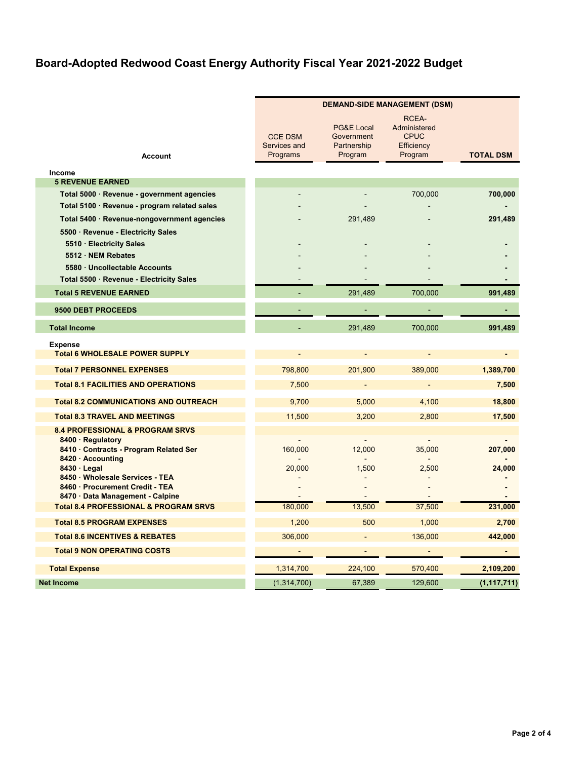|                                                                    | <b>DEMAND-SIDE MANAGEMENT (DSM)</b>        |                                                               |                                                               |                  |
|--------------------------------------------------------------------|--------------------------------------------|---------------------------------------------------------------|---------------------------------------------------------------|------------------|
| <b>Account</b>                                                     | <b>CCE DSM</b><br>Services and<br>Programs | <b>PG&amp;E Local</b><br>Government<br>Partnership<br>Program | RCEA-<br>Administered<br><b>CPUC</b><br>Efficiency<br>Program | <b>TOTAL DSM</b> |
| Income                                                             |                                            |                                                               |                                                               |                  |
| <b>5 REVENUE EARNED</b>                                            |                                            |                                                               |                                                               |                  |
| Total 5000 · Revenue - government agencies                         |                                            |                                                               | 700,000                                                       | 700,000          |
| Total 5100 · Revenue - program related sales                       |                                            |                                                               |                                                               |                  |
| Total 5400 · Revenue-nongovernment agencies                        |                                            | 291,489                                                       |                                                               | 291,489          |
| 5500 · Revenue - Electricity Sales                                 |                                            |                                                               |                                                               |                  |
| 5510 · Electricity Sales<br>5512 · NEM Rebates                     |                                            |                                                               |                                                               |                  |
| 5580 · Uncollectable Accounts                                      |                                            |                                                               |                                                               |                  |
| Total 5500 · Revenue - Electricity Sales                           |                                            |                                                               |                                                               |                  |
| <b>Total 5 REVENUE EARNED</b>                                      |                                            | 291,489                                                       | 700,000                                                       | 991,489          |
| 9500 DEBT PROCEEDS                                                 |                                            |                                                               |                                                               |                  |
| <b>Total Income</b>                                                |                                            | 291,489                                                       | 700,000                                                       | 991,489          |
| <b>Expense</b>                                                     |                                            |                                                               |                                                               |                  |
| <b>Total 6 WHOLESALE POWER SUPPLY</b>                              | L.                                         | $\overline{a}$                                                | $\overline{a}$                                                |                  |
| <b>Total 7 PERSONNEL EXPENSES</b>                                  | 798,800                                    | 201.900                                                       | 389,000                                                       | 1,389,700        |
| <b>Total 8.1 FACILITIES AND OPERATIONS</b>                         | 7,500                                      | $\blacksquare$                                                | $\omega$                                                      | 7,500            |
| <b>Total 8.2 COMMUNICATIONS AND OUTREACH</b>                       | 9.700                                      | 5.000                                                         | 4,100                                                         | 18,800           |
| <b>Total 8.3 TRAVEL AND MEETINGS</b>                               | 11,500                                     | 3,200                                                         | 2,800                                                         | 17,500           |
| <b>8.4 PROFESSIONAL &amp; PROGRAM SRVS</b>                         |                                            |                                                               |                                                               |                  |
| 8400 · Regulatory<br>8410 · Contracts - Program Related Ser        | 160,000                                    | 12,000                                                        | 35,000                                                        | 207,000          |
| 8420 · Accounting                                                  |                                            |                                                               |                                                               |                  |
| $8430 \cdot$ Legal                                                 | 20,000                                     | 1,500                                                         | 2,500                                                         | 24,000           |
| 8450 · Wholesale Services - TEA<br>8460 · Procurement Credit - TEA |                                            |                                                               |                                                               |                  |
| 8470 · Data Management - Calpine                                   |                                            |                                                               |                                                               |                  |
| <b>Total 8.4 PROFESSIONAL &amp; PROGRAM SRVS</b>                   | 180,000                                    | 13,500                                                        | 37,500                                                        | 231,000          |
| <b>Total 8.5 PROGRAM EXPENSES</b>                                  | 1,200                                      | 500                                                           | 1,000                                                         | 2,700            |
| <b>Total 8.6 INCENTIVES &amp; REBATES</b>                          | 306,000                                    |                                                               | 136,000                                                       | 442,000          |
| <b>Total 9 NON OPERATING COSTS</b>                                 | $\frac{1}{2}$                              | $\sim$                                                        | $\sim 10$                                                     | $\sim$           |
| <b>Total Expense</b>                                               | 1,314,700                                  | 224,100                                                       | 570,400                                                       | 2,109,200        |
| <b>Net Income</b>                                                  | (1, 314, 700)                              | 67,389                                                        | 129,600                                                       | (1, 117, 711)    |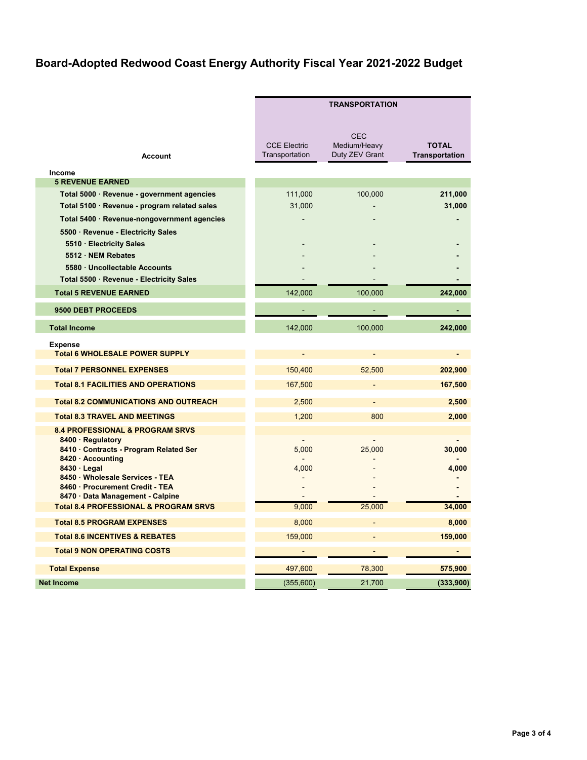|                                                                                   |                                       | <b>TRANSPORTATION</b>                        |                                       |  |  |
|-----------------------------------------------------------------------------------|---------------------------------------|----------------------------------------------|---------------------------------------|--|--|
| <b>Account</b>                                                                    | <b>CCE Electric</b><br>Transportation | <b>CEC</b><br>Medium/Heavy<br>Duty ZEV Grant | <b>TOTAL</b><br><b>Transportation</b> |  |  |
| Income                                                                            |                                       |                                              |                                       |  |  |
| <b>5 REVENUE EARNED</b>                                                           |                                       |                                              |                                       |  |  |
| Total 5000 · Revenue - government agencies                                        | 111,000                               | 100,000                                      | 211,000                               |  |  |
| Total 5100 · Revenue - program related sales                                      | 31,000                                |                                              | 31,000                                |  |  |
| Total 5400 · Revenue-nongovernment agencies<br>5500 · Revenue - Electricity Sales |                                       |                                              |                                       |  |  |
| 5510 · Electricity Sales                                                          |                                       |                                              |                                       |  |  |
| 5512 · NEM Rebates                                                                |                                       |                                              |                                       |  |  |
| 5580 · Uncollectable Accounts                                                     |                                       |                                              |                                       |  |  |
| Total 5500 · Revenue - Electricity Sales                                          |                                       |                                              |                                       |  |  |
| <b>Total 5 REVENUE EARNED</b>                                                     | 142,000                               | 100,000                                      | 242,000                               |  |  |
| 9500 DEBT PROCEEDS                                                                |                                       |                                              |                                       |  |  |
| <b>Total Income</b>                                                               | 142,000                               | 100,000                                      | 242,000                               |  |  |
| <b>Expense</b><br><b>Total 6 WHOLESALE POWER SUPPLY</b>                           | $\blacksquare$                        | ä,                                           | e i                                   |  |  |
| <b>Total 7 PERSONNEL EXPENSES</b>                                                 | 150,400                               | 52,500                                       | 202,900                               |  |  |
| <b>Total 8.1 FACILITIES AND OPERATIONS</b>                                        | 167,500                               |                                              | 167,500                               |  |  |
| <b>Total 8.2 COMMUNICATIONS AND OUTREACH</b>                                      | 2,500                                 | L,                                           | 2,500                                 |  |  |
| <b>Total 8.3 TRAVEL AND MEETINGS</b>                                              | 1,200                                 | 800                                          | 2,000                                 |  |  |
| <b>8.4 PROFESSIONAL &amp; PROGRAM SRVS</b>                                        |                                       |                                              |                                       |  |  |
| 8400 · Regulatory<br>8410 · Contracts - Program Related Ser                       | 5,000                                 | 25,000                                       | 30,000                                |  |  |
| 8420 · Accounting                                                                 |                                       |                                              |                                       |  |  |
| $8430 \cdot$ Legal                                                                | 4,000                                 |                                              | 4,000                                 |  |  |
| 8450 · Wholesale Services - TEA<br>8460 · Procurement Credit - TEA                |                                       |                                              |                                       |  |  |
| 8470 · Data Management - Calpine                                                  |                                       |                                              |                                       |  |  |
| <b>Total 8.4 PROFESSIONAL &amp; PROGRAM SRVS</b>                                  | 9,000                                 | 25,000                                       | 34,000                                |  |  |
| <b>Total 8.5 PROGRAM EXPENSES</b>                                                 | 8,000                                 | L,                                           | 8,000                                 |  |  |
| <b>Total 8.6 INCENTIVES &amp; REBATES</b>                                         | 159,000                               |                                              | 159,000                               |  |  |
| <b>Total 9 NON OPERATING COSTS</b>                                                | $\sim$                                | $\sim$                                       | $\sim$                                |  |  |
| <b>Total Expense</b>                                                              | 497.600                               | 78,300                                       | 575,900                               |  |  |
| <b>Net Income</b>                                                                 | (355,600)                             | 21,700                                       | (333,900)                             |  |  |